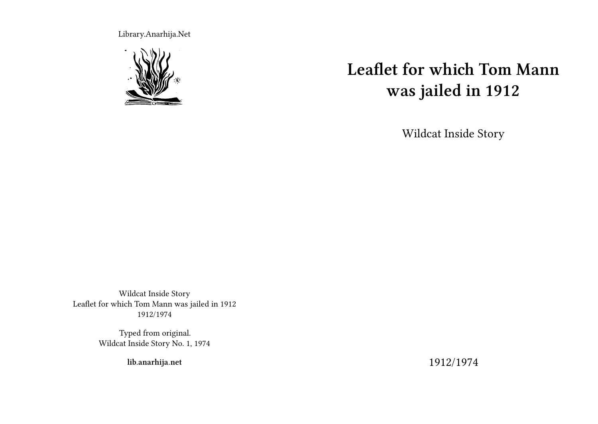Library.Anarhija.Net



# **Leaflet for which Tom Mann was jailed in 1912**

Wildcat Inside Story

Wildcat Inside Story Leaflet for which Tom Mann was jailed in 1912 1912/1974

> Typed from original. Wildcat Inside Story No. 1, 1974

> > **lib.anarhija.net**

1912/1974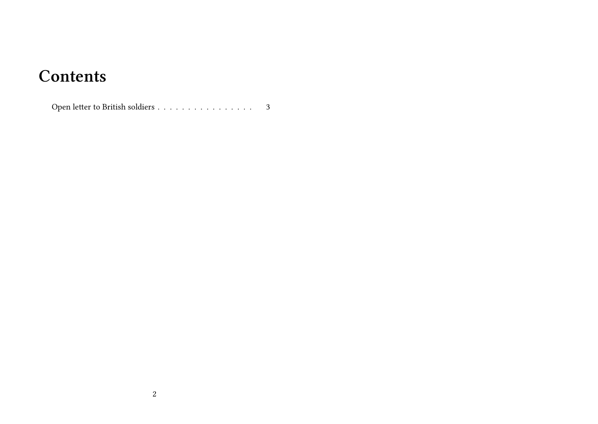## **Contents**

Open letter to British soldiers . . . . . . . . . . . . . . . . . . 3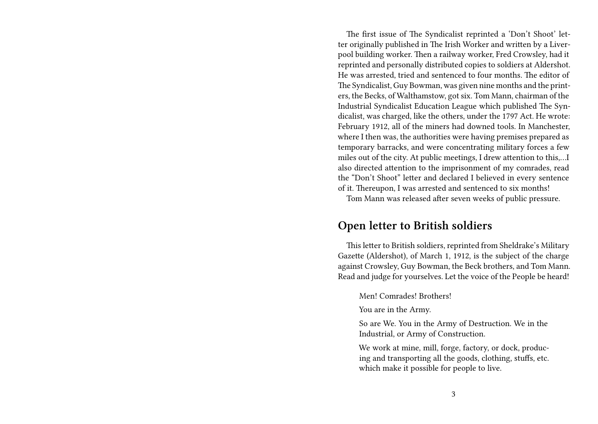The first issue of The Syndicalist reprinted a 'Don't Shoot' letter originally published in The Irish Worker and written by a Liverpool building worker. Then a railway worker, Fred Crowsley, had it reprinted and personally distributed copies to soldiers at Aldershot. He was arrested, tried and sentenced to four months. The editor of The Syndicalist, Guy Bowman, was given nine months and the printers, the Becks, of Walthamstow, got six. Tom Mann, chairman of the Industrial Syndicalist Education League which published The Syndicalist, was charged, like the others, under the 1797 Act. He wrote: February 1912, all of the miners had downed tools. In Manchester, where I then was, the authorities were having premises prepared as temporary barracks, and were concentrating military forces a few miles out of the city. At public meetings, I drew attention to this,…I also directed attention to the imprisonment of my comrades, read the "Don't Shoot" letter and declared I believed in every sentence of it. Thereupon, I was arrested and sentenced to six months!

Tom Mann was released after seven weeks of public pressure.

## **Open letter to British soldiers**

This letter to British soldiers, reprinted from Sheldrake's Military Gazette (Aldershot), of March 1, 1912, is the subject of the charge against Crowsley, Guy Bowman, the Beck brothers, and Tom Mann. Read and judge for yourselves. Let the voice of the People be heard!

#### Men! Comrades! Brothers!

You are in the Army.

So are We. You in the Army of Destruction. We in the Industrial, or Army of Construction.

We work at mine, mill, forge, factory, or dock, producing and transporting all the goods, clothing, stuffs, etc. which make it possible for people to live.